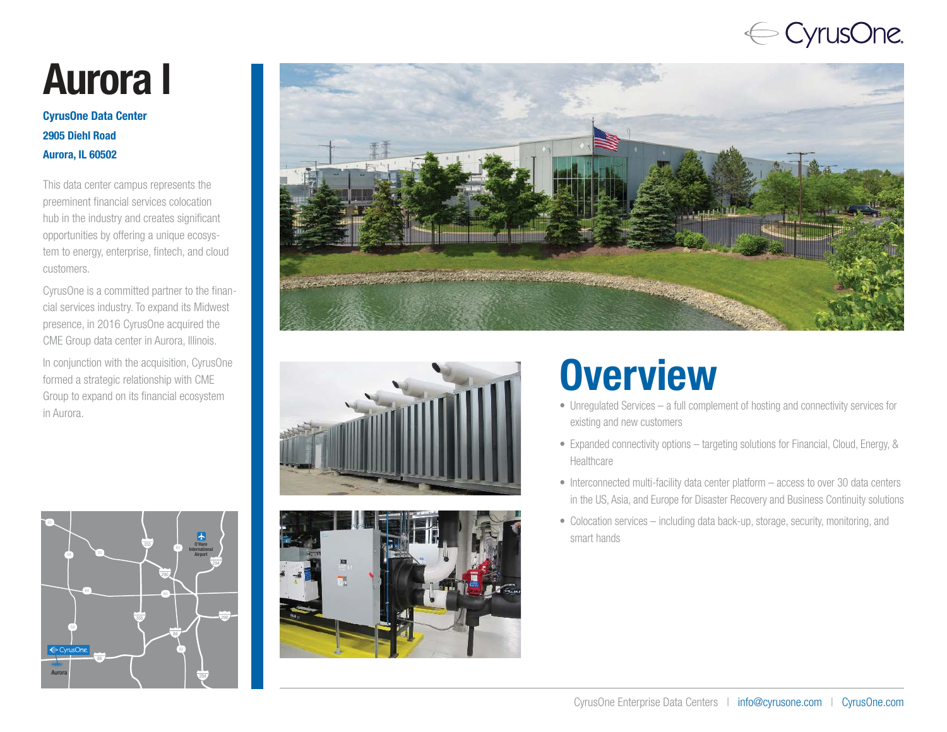## $\Leftarrow$  CyrusOne.

# Aurora l

#### CyrusOne Data Center 2905 Diehl Road Aurora, IL 60502

This data center campus represents the preeminent financial services colocation hub in the industry and creates significant opportunities by offering a unique ecosystem to energy, enterprise, fintech, and cloud customers.

CyrusOne is a committed partner to the financial services industry. To expand its Midwest presence, in 2016 CyrusOne acquired the CME Group data center in Aurora, Illinois.

In conjunction with the acquisition, CyrusOne formed a strategic relationship with CME Group to expand on its financial ecosystem in Aurora.









## **Overview**

- Unregulated Services a full complement of hosting and connectivity services for existing and new customers
- Expanded connectivity options targeting solutions for Financial, Cloud, Energy, & Healthcare
- Interconnected multi-facility data center platform access to over 30 data centers in the US, Asia, and Europe for Disaster Recovery and Business Continuity solutions
- Colocation services including data back-up, storage, security, monitoring, and smart hands